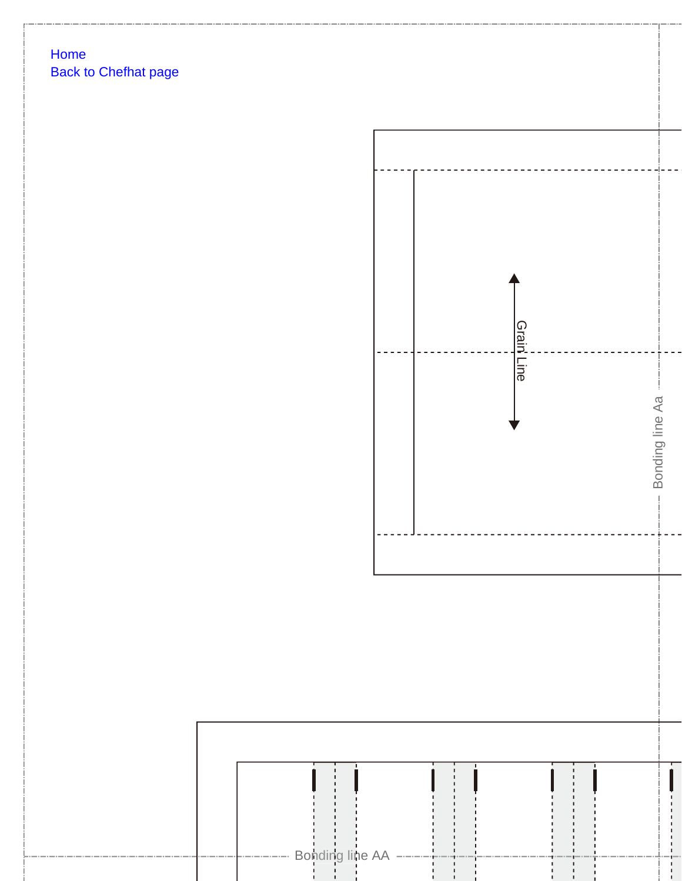## Home **Back to Chefhat page**

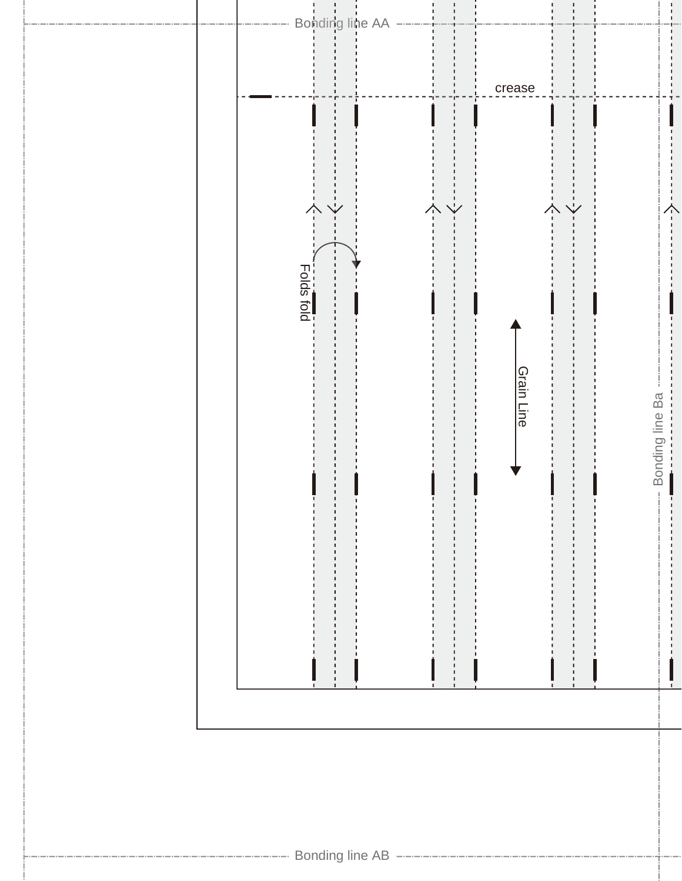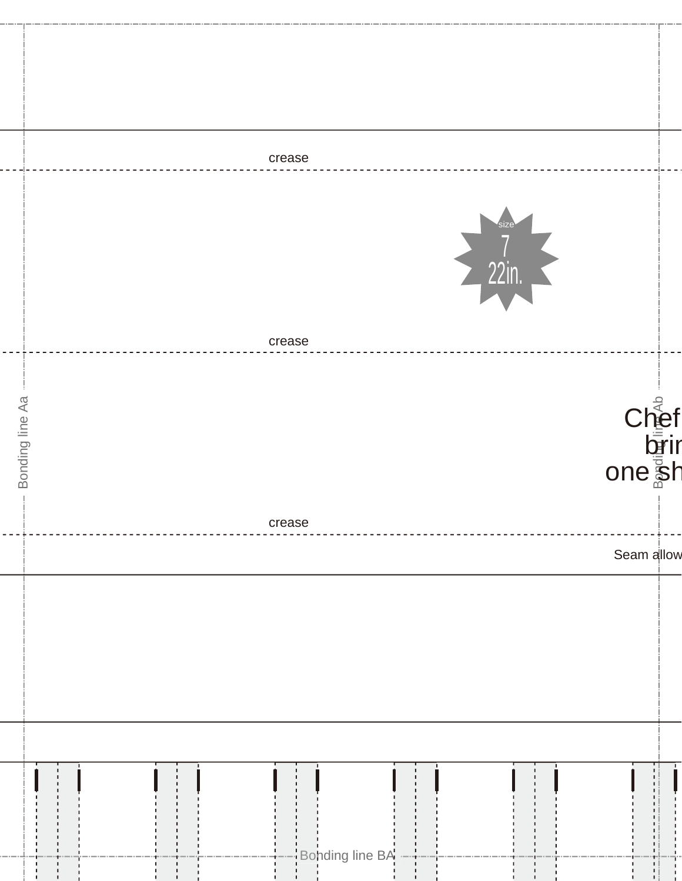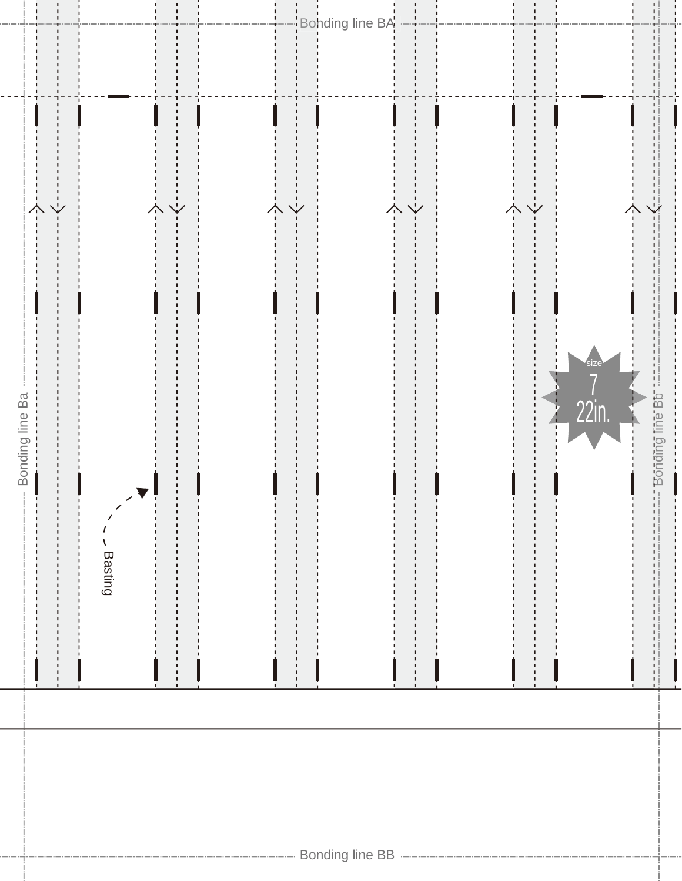

Bonding line BA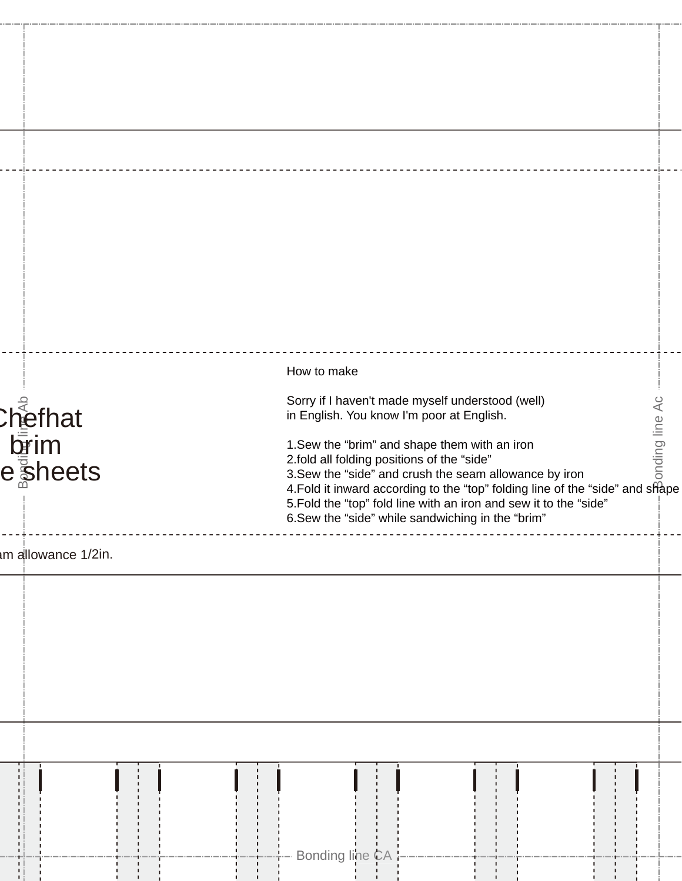| m allowance 1/2in.                     |  |  |  |  |                                                                                                                                                                                                                                                                                                                                                                                                                                                                                  |  |  |  |  |  |  |  |                |  |
|----------------------------------------|--|--|--|--|----------------------------------------------------------------------------------------------------------------------------------------------------------------------------------------------------------------------------------------------------------------------------------------------------------------------------------------------------------------------------------------------------------------------------------------------------------------------------------|--|--|--|--|--|--|--|----------------|--|
| }า∈็ <sup>ุ</sup><br>hefhat<br>esheets |  |  |  |  | How to make<br>Sorry if I haven't made myself understood (well)<br>in English. You know I'm poor at English.<br>1. Sew the "brim" and shape them with an iron<br>2.fold all folding positions of the "side"<br>3. Sew the "side" and crush the seam allowance by iron<br>4. Fold it inward according to the "top" folding line of the "side" and shape<br>5. Fold the "top" fold line with an iron and sew it to the "side"<br>6. Sew the "side" while sandwiching in the "brim" |  |  |  |  |  |  |  | onding line Ac |  |
|                                        |  |  |  |  |                                                                                                                                                                                                                                                                                                                                                                                                                                                                                  |  |  |  |  |  |  |  |                |  |
|                                        |  |  |  |  |                                                                                                                                                                                                                                                                                                                                                                                                                                                                                  |  |  |  |  |  |  |  |                |  |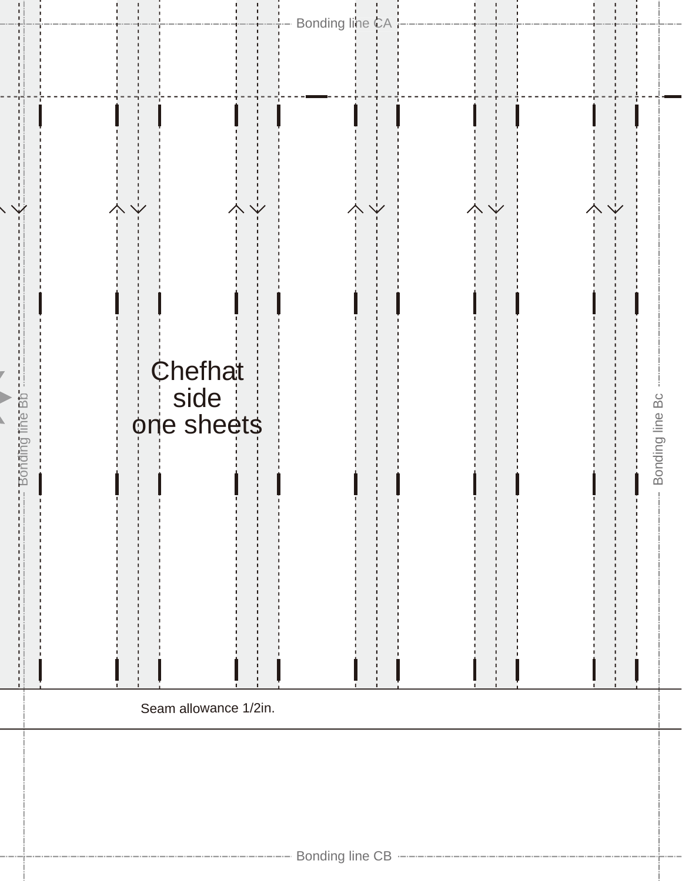I

|                        | $\frac{1}{2}$ |                               | $\vee$<br>个 | $\overline{\mathbf{y}}$<br>本 | 个               |
|------------------------|---------------|-------------------------------|-------------|------------------------------|-----------------|
| a<br>a<br>ΡŪ<br>Bondii |               | Chefhat<br>side<br>one sheets |             |                              | Bonding line Bc |
|                        |               | Seam allowance 1/2in.         |             |                              |                 |
|                        |               |                               |             |                              |                 |

r)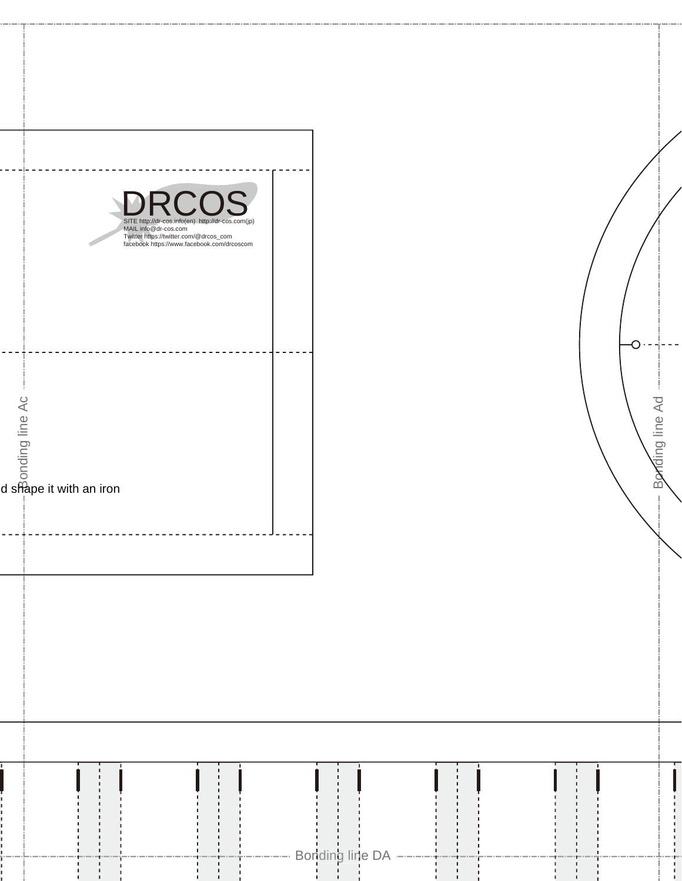|                                                    | MAIL info@dr-cos.com | $\bigcap$<br>$\bigcap$<br>C<br>SITE http://dr-cos.info(en) http://dr-cos.com(jp)<br>Twitter https://twitter.com/@drcos_com<br>facebook https://www.facebook.com/drcoscom |                   |  |
|----------------------------------------------------|----------------------|--------------------------------------------------------------------------------------------------------------------------------------------------------------------------|-------------------|--|
|                                                    |                      |                                                                                                                                                                          |                   |  |
| $\frac{c}{\sin \theta}$<br>d shape it with an iron |                      |                                                                                                                                                                          |                   |  |
|                                                    |                      |                                                                                                                                                                          |                   |  |
|                                                    |                      |                                                                                                                                                                          |                   |  |
|                                                    |                      |                                                                                                                                                                          |                   |  |
|                                                    |                      |                                                                                                                                                                          |                   |  |
| ī                                                  | ΠĪ                   | $\Box$                                                                                                                                                                   | $\prod_{i=1}^{n}$ |  |

Bonding line Ad

Bonding line Ad

С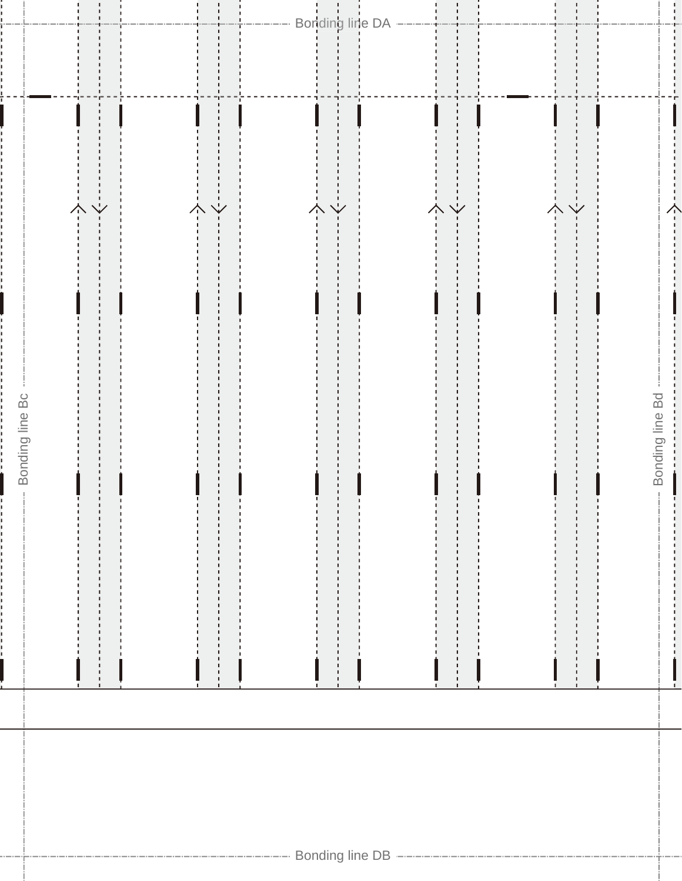|                    |                                                |                                                                                           | ----- Bonding line DA --------              | $\frac{1}{\sqrt{1-\frac{1}{2}}}$                     |                     | ļ.                                     |
|--------------------|------------------------------------------------|-------------------------------------------------------------------------------------------|---------------------------------------------|------------------------------------------------------|---------------------|----------------------------------------|
|                    | $\overline{\mathsf{Y}}$<br>$\overline{\hat{}}$ | $\frac{1}{\sqrt{2}}\left(1-\frac{1}{\sqrt{2}}\right)$<br>$\overline{\overset{1}{\wedge}}$ | $\begin{array}{c} -1 \ -1 \end{array}$<br>个 | $\frac{1}{2}$<br>$\overline{\overline{\overline{}}}$ | $-\frac{1}{2}$<br>个 | $\begin{matrix} -1 \\ -1 \end{matrix}$ |
| -- Bonding line Bc |                                                |                                                                                           |                                             |                                                      |                     | Bonding line Bd<br>f,                  |
|                    |                                                |                                                                                           |                                             |                                                      |                     |                                        |
|                    |                                                |                                                                                           |                                             |                                                      |                     |                                        |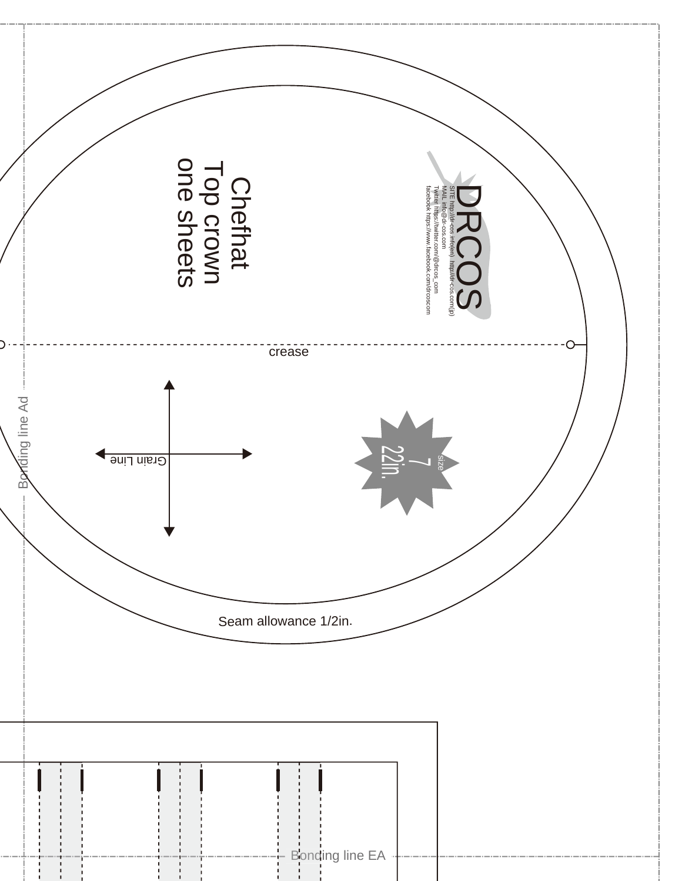